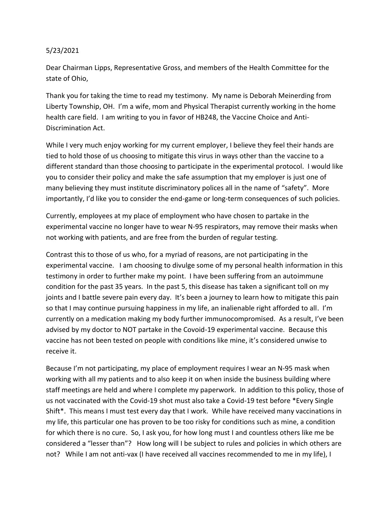## 5/23/2021

Dear Chairman Lipps, Representative Gross, and members of the Health Committee for the state of Ohio,

Thank you for taking the time to read my testimony. My name is Deborah Meinerding from Liberty Township, OH. I'm a wife, mom and Physical Therapist currently working in the home health care field. I am writing to you in favor of HB248, the Vaccine Choice and Anti-Discrimination Act.

While I very much enjoy working for my current employer, I believe they feel their hands are tied to hold those of us choosing to mitigate this virus in ways other than the vaccine to a different standard than those choosing to participate in the experimental protocol. I would like you to consider their policy and make the safe assumption that my employer is just one of many believing they must institute discriminatory polices all in the name of "safety". More importantly, I'd like you to consider the end-game or long-term consequences of such policies.

Currently, employees at my place of employment who have chosen to partake in the experimental vaccine no longer have to wear N-95 respirators, may remove their masks when not working with patients, and are free from the burden of regular testing.

Contrast this to those of us who, for a myriad of reasons, are not participating in the experimental vaccine. I am choosing to divulge some of my personal health information in this testimony in order to further make my point. I have been suffering from an autoimmune condition for the past 35 years. In the past 5, this disease has taken a significant toll on my joints and I battle severe pain every day. It's been a journey to learn how to mitigate this pain so that I may continue pursuing happiness in my life, an inalienable right afforded to all. I'm currently on a medication making my body further immunocompromised. As a result, I've been advised by my doctor to NOT partake in the Covoid-19 experimental vaccine. Because this vaccine has not been tested on people with conditions like mine, it's considered unwise to receive it.

Because I'm not participating, my place of employment requires I wear an N-95 mask when working with all my patients and to also keep it on when inside the business building where staff meetings are held and where I complete my paperwork. In addition to this policy, those of us not vaccinated with the Covid-19 shot must also take a Covid-19 test before \*Every Single Shift\*. This means I must test every day that I work. While have received many vaccinations in my life, this particular one has proven to be too risky for conditions such as mine, a condition for which there is no cure. So, I ask you, for how long must I and countless others like me be considered a "lesser than"? How long will I be subject to rules and policies in which others are not? While I am not anti-vax (I have received all vaccines recommended to me in my life), I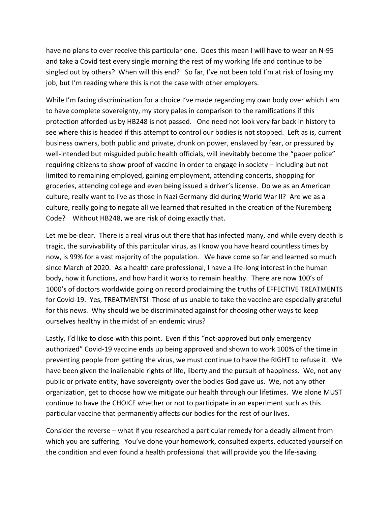have no plans to ever receive this particular one. Does this mean I will have to wear an N-95 and take a Covid test every single morning the rest of my working life and continue to be singled out by others? When will this end? So far, I've not been told I'm at risk of losing my job, but I'm reading where this is not the case with other employers.

While I'm facing discrimination for a choice I've made regarding my own body over which I am to have complete sovereignty, my story pales in comparison to the ramifications if this protection afforded us by HB248 is not passed. One need not look very far back in history to see where this is headed if this attempt to control our bodies is not stopped. Left as is, current business owners, both public and private, drunk on power, enslaved by fear, or pressured by well-intended but misguided public health officials, will inevitably become the "paper police" requiring citizens to show proof of vaccine in order to engage in society – including but not limited to remaining employed, gaining employment, attending concerts, shopping for groceries, attending college and even being issued a driver's license. Do we as an American culture, really want to live as those in Nazi Germany did during World War II? Are we as a culture, really going to negate all we learned that resulted in the creation of the Nuremberg Code? Without HB248, we are risk of doing exactly that.

Let me be clear. There is a real virus out there that has infected many, and while every death is tragic, the survivability of this particular virus, as I know you have heard countless times by now, is 99% for a vast majority of the population. We have come so far and learned so much since March of 2020. As a health care professional, I have a life-long interest in the human body, how it functions, and how hard it works to remain healthy. There are now 100's of 1000's of doctors worldwide going on record proclaiming the truths of EFFECTIVE TREATMENTS for Covid-19. Yes, TREATMENTS! Those of us unable to take the vaccine are especially grateful for this news. Why should we be discriminated against for choosing other ways to keep ourselves healthy in the midst of an endemic virus?

Lastly, I'd like to close with this point. Even if this "not-approved but only emergency authorized" Covid-19 vaccine ends up being approved and shown to work 100% of the time in preventing people from getting the virus, we must continue to have the RIGHT to refuse it. We have been given the inalienable rights of life, liberty and the pursuit of happiness. We, not any public or private entity, have sovereignty over the bodies God gave us. We, not any other organization, get to choose how we mitigate our health through our lifetimes. We alone MUST continue to have the CHOICE whether or not to participate in an experiment such as this particular vaccine that permanently affects our bodies for the rest of our lives.

Consider the reverse – what if you researched a particular remedy for a deadly ailment from which you are suffering. You've done your homework, consulted experts, educated yourself on the condition and even found a health professional that will provide you the life-saving